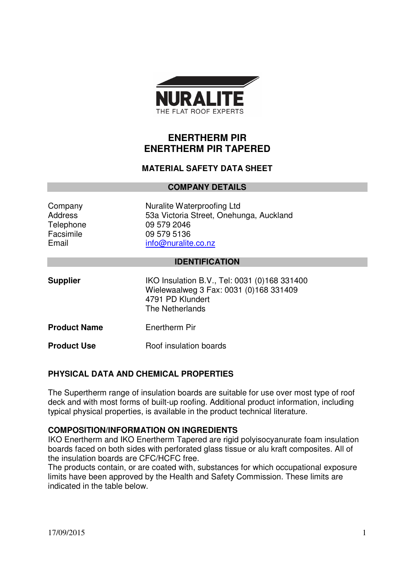

# **ENERTHERM PIR ENERTHERM PIR TAPERED**

### **MATERIAL SAFETY DATA SHEET**

#### **COMPANY DETAILS**

| Company   |
|-----------|
| Address   |
| Telephone |
| Facsimile |
| Email     |

Nuralite Waterproofing Ltd 53a Victoria Street, Onehunga, Auckland 09 579 2046 09 579 5136 info@nuralite.co.nz

#### **IDENTIFICATION**

| <b>Supplier</b>     | IKO Insulation B.V., Tel: 0031 (0)168 331400<br>Wielewaalweg 3 Fax: 0031 (0)168 331409<br>4791 PD Klundert<br>The Netherlands |
|---------------------|-------------------------------------------------------------------------------------------------------------------------------|
| <b>Product Name</b> | Enertherm Pir                                                                                                                 |
| <b>Product Use</b>  | Roof insulation boards                                                                                                        |

## **PHYSICAL DATA AND CHEMICAL PROPERTIES**

The Supertherm range of insulation boards are suitable for use over most type of roof deck and with most forms of built-up roofing. Additional product information, including typical physical properties, is available in the product technical literature.

### **COMPOSITION/INFORMATION ON INGREDIENTS**

IKO Enertherm and IKO Enertherm Tapered are rigid polyisocyanurate foam insulation boards faced on both sides with perforated glass tissue or alu kraft composites. All of the insulation boards are CFC/HCFC free.

The products contain, or are coated with, substances for which occupational exposure limits have been approved by the Health and Safety Commission. These limits are indicated in the table below.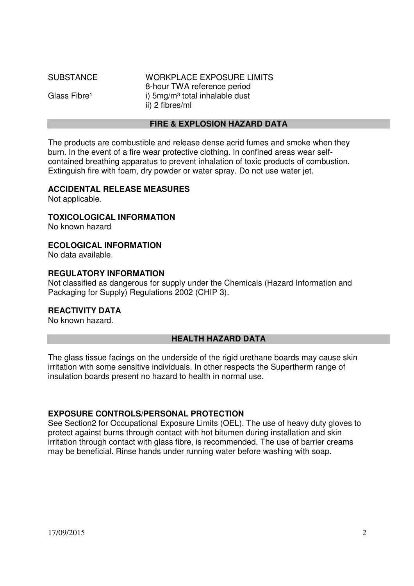| <b>SUBSTANCE</b>         | <b>WORKPLACE EXPOSURE LIMITS</b> |
|--------------------------|----------------------------------|
|                          | 8-hour TWA reference period      |
| Glass Fibre <sup>1</sup> | i) $5mg/m3$ total inhalable dust |
|                          | ii) 2 fibres/ml                  |
|                          |                                  |

## **FIRE & EXPLOSION HAZARD DATA**

The products are combustible and release dense acrid fumes and smoke when they burn. In the event of a fire wear protective clothing. In confined areas wear selfcontained breathing apparatus to prevent inhalation of toxic products of combustion. Extinguish fire with foam, dry powder or water spray. Do not use water jet.

### **ACCIDENTAL RELEASE MEASURES**

Not applicable.

# **TOXICOLOGICAL INFORMATION**

No known hazard

## **ECOLOGICAL INFORMATION**

No data available.

## **REGULATORY INFORMATION**

Not classified as dangerous for supply under the Chemicals (Hazard Information and Packaging for Supply) Regulations 2002 (CHIP 3).

# **REACTIVITY DATA**

No known hazard.

## **HEALTH HAZARD DATA**

The glass tissue facings on the underside of the rigid urethane boards may cause skin irritation with some sensitive individuals. In other respects the Supertherm range of insulation boards present no hazard to health in normal use.

## **EXPOSURE CONTROLS/PERSONAL PROTECTION**

See Section2 for Occupational Exposure Limits (OEL). The use of heavy duty gloves to protect against burns through contact with hot bitumen during installation and skin irritation through contact with glass fibre, is recommended. The use of barrier creams may be beneficial. Rinse hands under running water before washing with soap.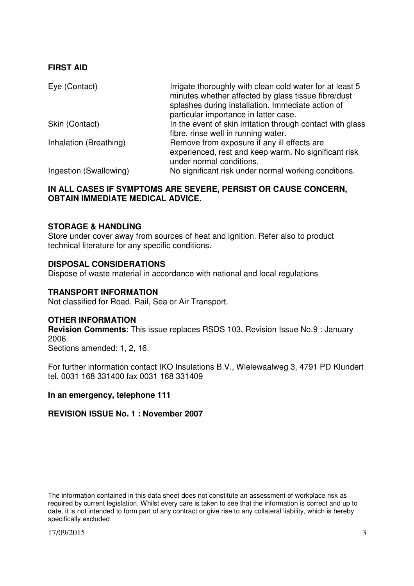### **FIRST AID**

| Eye (Contact)          | Irrigate thoroughly with clean cold water for at least 5<br>minutes whether affected by glass tissue fibre/dust<br>splashes during installation. Immediate action of<br>particular importance in latter case. |
|------------------------|---------------------------------------------------------------------------------------------------------------------------------------------------------------------------------------------------------------|
| Skin (Contact)         | In the event of skin irritation through contact with glass<br>fibre, rinse well in running water.                                                                                                             |
| Inhalation (Breathing) | Remove from exposure if any ill effects are<br>experienced, rest and keep warm. No significant risk<br>under normal conditions.                                                                               |
| Ingestion (Swallowing) | No significant risk under normal working conditions.                                                                                                                                                          |

### **IN ALL CASES IF SYMPTOMS ARE SEVERE, PERSIST OR CAUSE CONCERN, OBTAIN IMMEDIATE MEDICAL ADVICE.**

#### **STORAGE & HANDLING**

Store under cover away from sources of heat and ignition. Refer also to product technical literature for any specific conditions.

#### **DISPOSAL CONSIDERATIONS**

Dispose of waste material in accordance with national and local regulations

#### **TRANSPORT INFORMATION**

Not classified for Road, Rail, Sea or Air Transport.

#### **OTHER INFORMATION**

**Revision Comments**: This issue replaces RSDS 103, Revision Issue No.9 : January 2006.

Sections amended: 1, 2, 16.

For further information contact IKO Insulations B.V., Wielewaalweg 3, 4791 PD Klundert tel. 0031 168 331400 fax 0031 168 331409

#### **In an emergency, telephone 111**

#### **REVISION ISSUE No. 1 : November 2007**

The information contained in this data sheet does not constitute an assessment of workplace risk as required by current legislation. Whilst every care is taken to see that the information is correct and up to date, it is not intended to form part of any contract or give rise to any collateral liability, which is hereby specifically excluded